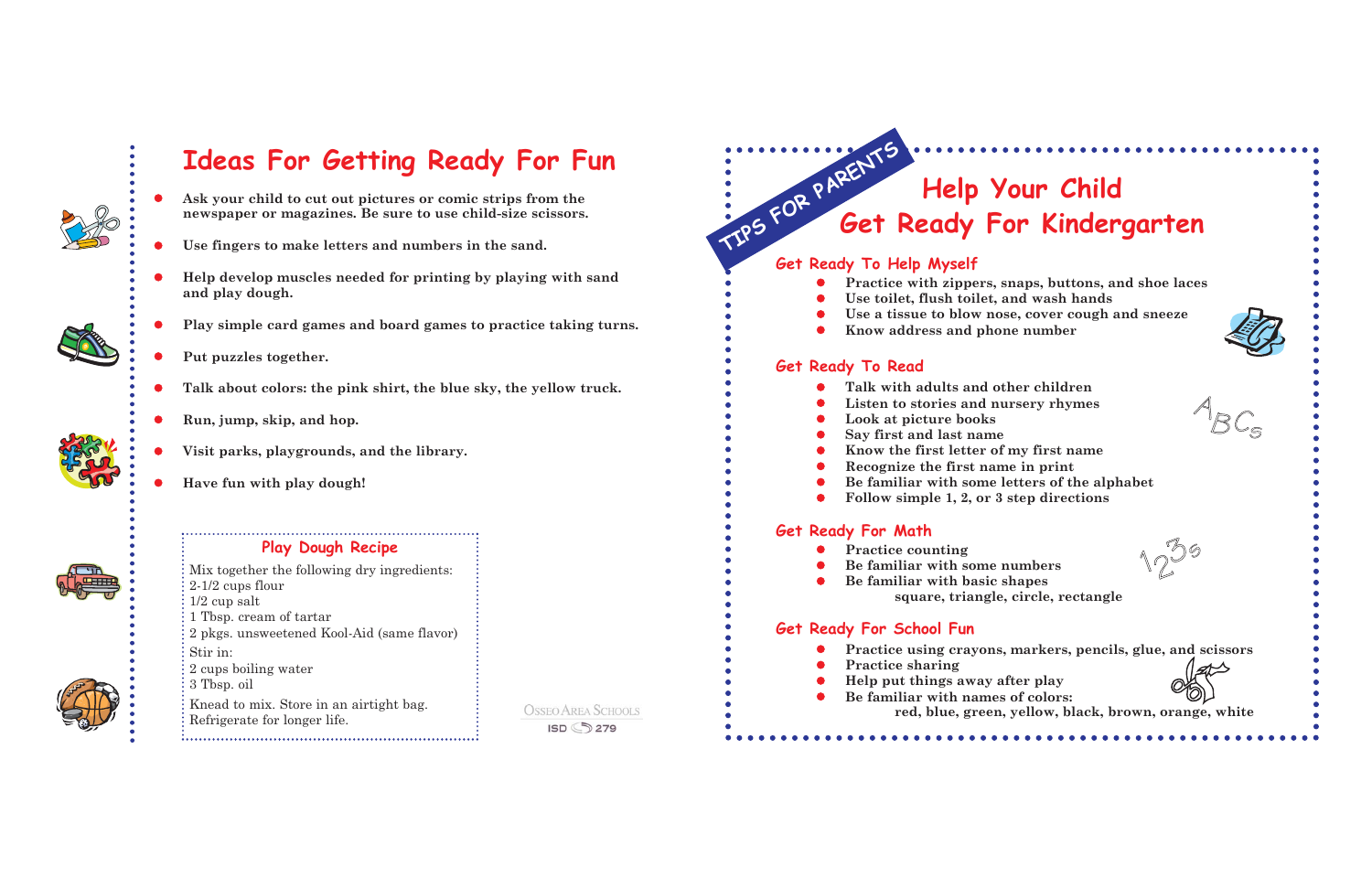

O

0

0

O

O

## **Ideas For Getting Ready For Fun**

# **Help Your Child Get Ready For Kindergarten** TIPS FOR PARENTS

#### **Get Ready To Help Myself**

- $\bullet$
- O **Use toilet, flush toilet, and wash hands**
- O
- 0 **Know address and phone number**

 **Practice with zippers, snaps, buttons, and shoe laces Use a tissue to blow nose, cover cough and sneeze**



- **Ask your child to cut out pictures or comic strips from the newspaper or magazines. Be sure to use child-size scissors.**
- 0 **Use fingers to make letters and numbers in the sand.**
- O **Help develop muscles needed for printing by playing with sand and play dough.**
- O **Play simple card games and board games to practice taking turns.**

- 0 **Talk with adults and other children**
- $\bullet$ **Listen to stories and nursery rhymes**
- $\bullet$ **Look at picture books**
- 0 **Say first and last name**
- $\bullet$ **Know the first letter of my first name**
- 0 **Recognize the first name in print**
- 0
- $\bullet$ **Follow simple 1, 2, or 3 step directions**

- 0 **Practice counting**
- O **Be familiar with some numbers**  $\bullet$  **Be familiar with basic shapes**
	-

**Put puzzles together.**

**Talk about colors: the pink shirt, the blue sky, the yellow truck.**

- O
- 





**Run, jump, skip, and hop.**

- 0
- 0 **Practice sharing**
- O **Help put things away after play**  $\bullet$ 
	- **Be familiar with names of colors:**
		-

**Visit parks, playgrounds, and the library.**

**Have fun with play dough!**

#### **Get Ready To Read**

**Be familiar with some letters of the alphabet**

#### **Get Ready For Math**

**square, triangle, circle, rectangle** 

### **Get Ready For School Fun**

**Practice using crayons, markers, pencils, glue, and scissors**

**red, blue, green, yellow, black, brown, orange, white**

#### **Play Dough Recipe**

Mix together the following dry ingredients: 2-1/2 cups flour 1/2 cup salt 1 Tbsp. cream of tartar 2 pkgs. unsweetened Kool-Aid (same flavor) Stir in: 2 cups boiling water 3 Tbsp. oil Knead to mix. Store in an airtight bag. Refrigerate for longer life.

**OSSEO AREA SCHOOLS** ISD 3279



1 23s